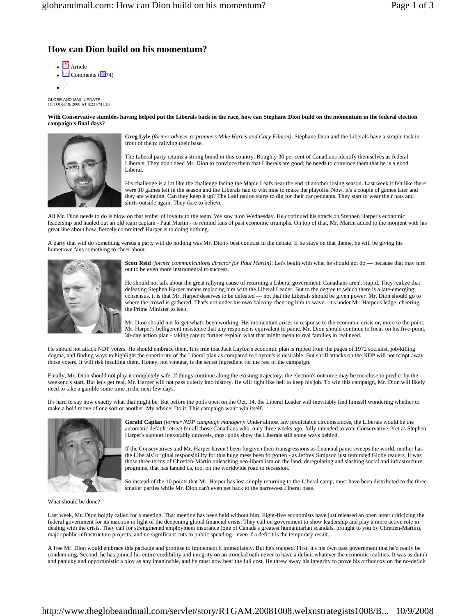## **How can Dion build on his momentum?**

 $\blacksquare$  Article  $\cdot$  3 Comments ( $\overline{9}$ 74)  $\bullet$  /

GLOBE AND MAIL UPDATE OCTOBER 8, 2008 AT 9:23 PM EDT

**With Conservative stumbles having helped put the Liberals back in the race, how can Stephane Dion build on the momentum in the federal election campaign's final days?**



**Greg Lyle** *(former adviser to premiers Mike Harris and Gary Filmon)*: Stephane Dion and the Liberals have a simple task in front of them: rallying their base.

The Liberal party retains a strong brand in this country. Roughly 30 per cent of Canadians identify themselves as federal Liberals. They don't need Mr. Dion to convince them that Liberals are good; he needs to convince them that he is a good Liberal.

His challenge is a lot like the challenge facing the Maple Leafs near the end of another losing season. Last week it felt like there were 10 games left in the season and the Liberals had to win nine to make the playoffs. Now, it's a couple of games later and they are winning. Can they keep it up? The Leaf nation starts to dig for their car pennants. They start to wear their hats and shirts outside again. They dare to believe.

All Mr. Dion needs to do is blow on that ember of loyalty to the team. We saw it on Wednesday. He continued his attack on Stephen Harper's economic leadership and hauled out an old team captain - Paul Martin - to remind fans of past economic triumphs. On top of that, Mr. Martin added to the moment with his great line about how 'fiercely committed' Harper is to doing nothing.

A party that will do something versus a party will do nothing was Mr. Dion's best contrast in the debate. If he stays on that theme, he will be giving his hometown fans something to cheer about.



**Scott Reid** *(former communications director for Paul Martin)*: Let's begin with what he should not do — because that may turn out to be even more instrumental to success.

He should not talk about the great rallying cause of returning a Liberal government. Canadians aren't stupid. They realize that defeating Stephen Harper means replacing him with the Liberal Leader. But to the degree to which there is a late-emerging consensus, it is that Mr. Harper deserves to be defeated — not that the Liberals should be given power. Mr. Dion should go to where the crowd is gathered. That's not under his own balcony cheering him to wave - it's under Mr. Harper's ledge, cheering the Prime Minister to leap.

Mr. Dion should not forget what's been working. His momentum arises in response to the economic crisis or, more to the point, Mr. Harper's belligerent insistence that any response is equivalent to panic. Mr. Dion should continue to focus on his five-point, 30-day action plan - taking care to further explain what that might mean to real families in real need.

He should not attack NDP voters. He should embrace them. It is true that Jack Layton's economic plan is ripped from the pages of 1972 socialist, job-killing dogma, and finding ways to highlight the superiority of the Liberal plan as compared to Layton's is desirable. But shrill attacks on the NDP will not tempt away those voters. It will risk insulting them. Honey, not vinegar, is the secret ingredient for the rest of the campaign.

Finally, Mr. Dion should not play it completely safe. If things continue along the existing trajectory, the election's outcome may be too close to predict by the weekend's start. But let's get real. Mr. Harper will not pass quietly into history. He will fight like hell to keep his job. To win this campaign, Mr. Dion will likely need to take a gamble some time in the next few days.

It's hard to say now exactly what that might be. But before the polls open on the Oct. 14, the Liberal Leader will inevitably find himself wondering whether to make a bold move of one sort or another. My advice: Do it. This campaign won't win itself.



**Gerald Caplan** *(former NDP campaign manager)*: Under almost any predictable circumstances, the Liberals would be the automatic default retreat for all those Canadians who, only three weeks ago, fully intended to vote Conservative. Yet as Stephen Harper's support inexorably unravels, most polls show the Liberals still some ways behind.

If the Conservatives and Mr. Harper haven't been forgiven their transgressions as financial panic sweeps the world, neither has the Liberals' original responsibility for this huge mess been forgotten - as Jeffrey Simpson just reminded Globe readers. It was those three terms of Chretien-Martin unleashing neo-liberalism on the land, deregulating and slashing social and infrastructure programs, that has landed us, too, on the worldwide road to recession.

So instead of the 10 points that Mr. Harper has lost simply returning to the Liberal camp, most have been distributed to the three smaller parties while Mr. Dion can't even get back to the narrowest Liberal base.

What should be done?

Last week, Mr. Dion boldly called for a meeting. That meeting has been held without him. Eight-five economists have just released an open letter criticizing the federal government for its inaction in light of the deepening global financial crisis. They call on government to show leadership and play a more active role in dealing with the crisis. They call for strengthened employment insurance (one of Canada's greatest humanitarian scandals, brought to you by Chretien-Martin), major public infrastructure projects, and no significant cuts to public spending - even if a deficit is the temporary result.

A free Mr. Dion would embrace this package and promise to implement it immediately. But he's trapped. First, it's his own past government that he'd really be condemning. Second, he has pinned his entire credibility and integrity on an ironclad oath never to have a deficit whatever the economic realities. It was as dumb and panicky and opportunistic a ploy as any imaginable, and he must now bear the full cost. He threw away his integrity to prove his orthodoxy on the no-deficit